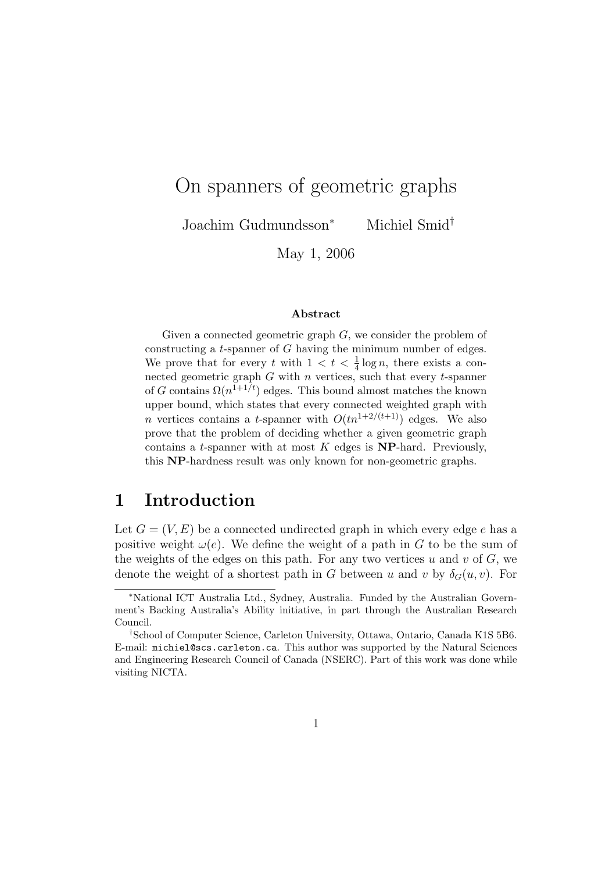# On spanners of geometric graphs

Joachim Gudmundsson<sup>∗</sup> Michiel Smid†

May 1, 2006

#### Abstract

Given a connected geometric graph  $G$ , we consider the problem of constructing a t-spanner of G having the minimum number of edges. We prove that for every t with  $1 < t < \frac{1}{4} \log n$ , there exists a connected geometric graph  $G$  with  $n$  vertices, such that every  $t$ -spanner of G contains  $\Omega(n^{1+1/t})$  edges. This bound almost matches the known upper bound, which states that every connected weighted graph with n vertices contains a t-spanner with  $O(tn^{1+2/(t+1)})$  edges. We also prove that the problem of deciding whether a given geometric graph contains a t-spanner with at most  $K$  edges is **NP**-hard. Previously, this NP-hardness result was only known for non-geometric graphs.

## 1 Introduction

Let  $G = (V, E)$  be a connected undirected graph in which every edge e has a positive weight  $\omega(e)$ . We define the weight of a path in G to be the sum of the weights of the edges on this path. For any two vertices u and v of  $G$ , we denote the weight of a shortest path in G between u and v by  $\delta_G(u, v)$ . For

<sup>∗</sup>National ICT Australia Ltd., Sydney, Australia. Funded by the Australian Government's Backing Australia's Ability initiative, in part through the Australian Research Council.

<sup>†</sup>School of Computer Science, Carleton University, Ottawa, Ontario, Canada K1S 5B6. E-mail: michiel@scs.carleton.ca. This author was supported by the Natural Sciences and Engineering Research Council of Canada (NSERC). Part of this work was done while visiting NICTA.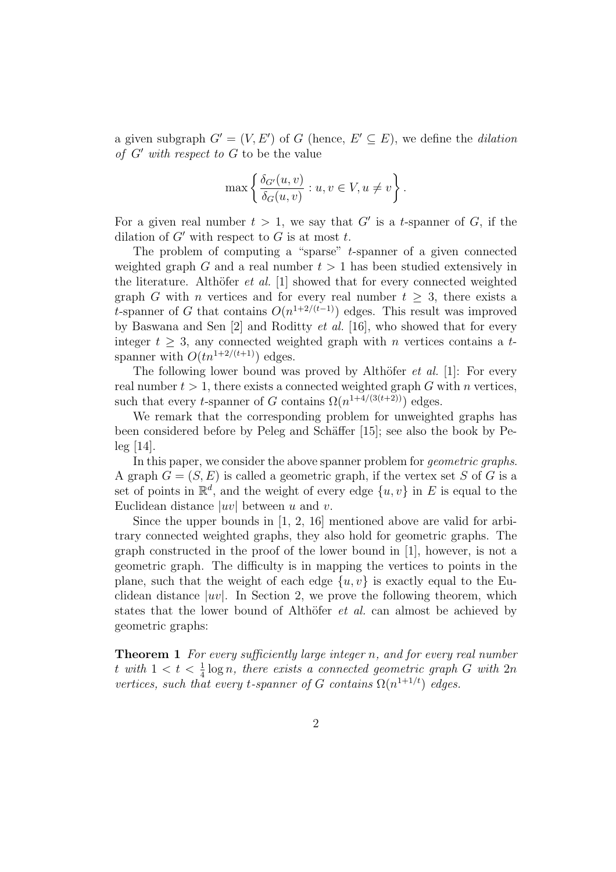a given subgraph  $G' = (V, E')$  of G (hence,  $E' \subseteq E$ ), we define the *dilation* of  $G'$  with respect to  $G$  to be the value

$$
\max \left\{ \frac{\delta_{G'}(u,v)}{\delta_G(u,v)} : u, v \in V, u \neq v \right\}.
$$

For a given real number  $t > 1$ , we say that G' is a t-spanner of G, if the dilation of  $G'$  with respect to  $G$  is at most  $t$ .

The problem of computing a "sparse" t-spanner of a given connected weighted graph G and a real number  $t > 1$  has been studied extensively in the literature. Althöfer *et al.* [1] showed that for every connected weighted graph G with *n* vertices and for every real number  $t \geq 3$ , there exists a t-spanner of G that contains  $O(n^{1+2/(t-1)})$  edges. This result was improved by Baswana and Sen [2] and Roditty et al. [16], who showed that for every integer  $t \geq 3$ , any connected weighted graph with *n* vertices contains a tspanner with  $O(tn^{1+2/(t+1)})$  edges.

The following lower bound was proved by Althöfer  $et \ al.$  [1]: For every real number  $t > 1$ , there exists a connected weighted graph G with n vertices, such that every *t*-spanner of G contains  $\Omega(n^{1+4/(3(t+2))})$  edges.

We remark that the corresponding problem for unweighted graphs has been considered before by Peleg and Schäffer [15]; see also the book by Peleg [14].

In this paper, we consider the above spanner problem for *geometric graphs*. A graph  $G = (S, E)$  is called a geometric graph, if the vertex set S of G is a set of points in  $\mathbb{R}^d$ , and the weight of every edge  $\{u, v\}$  in E is equal to the Euclidean distance  $|uv|$  between u and v.

Since the upper bounds in [1, 2, 16] mentioned above are valid for arbitrary connected weighted graphs, they also hold for geometric graphs. The graph constructed in the proof of the lower bound in [1], however, is not a geometric graph. The difficulty is in mapping the vertices to points in the plane, such that the weight of each edge  $\{u, v\}$  is exactly equal to the Euclidean distance  $|uv|$ . In Section 2, we prove the following theorem, which states that the lower bound of Althöfer *et al.* can almost be achieved by geometric graphs:

**Theorem 1** For every sufficiently large integer n, and for every real number t with  $1 < t < \frac{1}{4} \log n$ , there exists a connected geometric graph G with  $2n$ vertices, such that every t-spanner of G contains  $\Omega(n^{1+1/t})$  edges.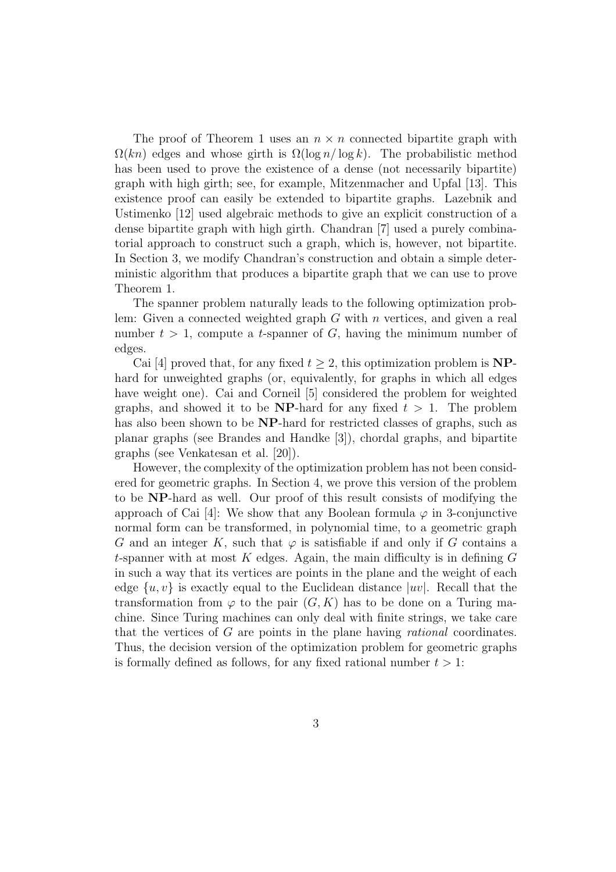The proof of Theorem 1 uses an  $n \times n$  connected bipartite graph with  $\Omega(kn)$  edges and whose girth is  $\Omega(\log n/\log k)$ . The probabilistic method has been used to prove the existence of a dense (not necessarily bipartite) graph with high girth; see, for example, Mitzenmacher and Upfal [13]. This existence proof can easily be extended to bipartite graphs. Lazebnik and Ustimenko [12] used algebraic methods to give an explicit construction of a dense bipartite graph with high girth. Chandran [7] used a purely combinatorial approach to construct such a graph, which is, however, not bipartite. In Section 3, we modify Chandran's construction and obtain a simple deterministic algorithm that produces a bipartite graph that we can use to prove Theorem 1.

The spanner problem naturally leads to the following optimization problem: Given a connected weighted graph  $G$  with  $n$  vertices, and given a real number  $t > 1$ , compute a *t*-spanner of G, having the minimum number of edges.

Cai [4] proved that, for any fixed  $t \geq 2$ , this optimization problem is **NP**hard for unweighted graphs (or, equivalently, for graphs in which all edges have weight one). Cai and Corneil [5] considered the problem for weighted graphs, and showed it to be  $NP$ -hard for any fixed  $t > 1$ . The problem has also been shown to be NP-hard for restricted classes of graphs, such as planar graphs (see Brandes and Handke [3]), chordal graphs, and bipartite graphs (see Venkatesan et al. [20]).

However, the complexity of the optimization problem has not been considered for geometric graphs. In Section 4, we prove this version of the problem to be NP-hard as well. Our proof of this result consists of modifying the approach of Cai [4]: We show that any Boolean formula  $\varphi$  in 3-conjunctive normal form can be transformed, in polynomial time, to a geometric graph G and an integer K, such that  $\varphi$  is satisfiable if and only if G contains a t-spanner with at most  $K$  edges. Again, the main difficulty is in defining  $G$ in such a way that its vertices are points in the plane and the weight of each edge  $\{u, v\}$  is exactly equal to the Euclidean distance  $|uv|$ . Recall that the transformation from  $\varphi$  to the pair  $(G, K)$  has to be done on a Turing machine. Since Turing machines can only deal with finite strings, we take care that the vertices of  $G$  are points in the plane having *rational* coordinates. Thus, the decision version of the optimization problem for geometric graphs is formally defined as follows, for any fixed rational number  $t > 1$ :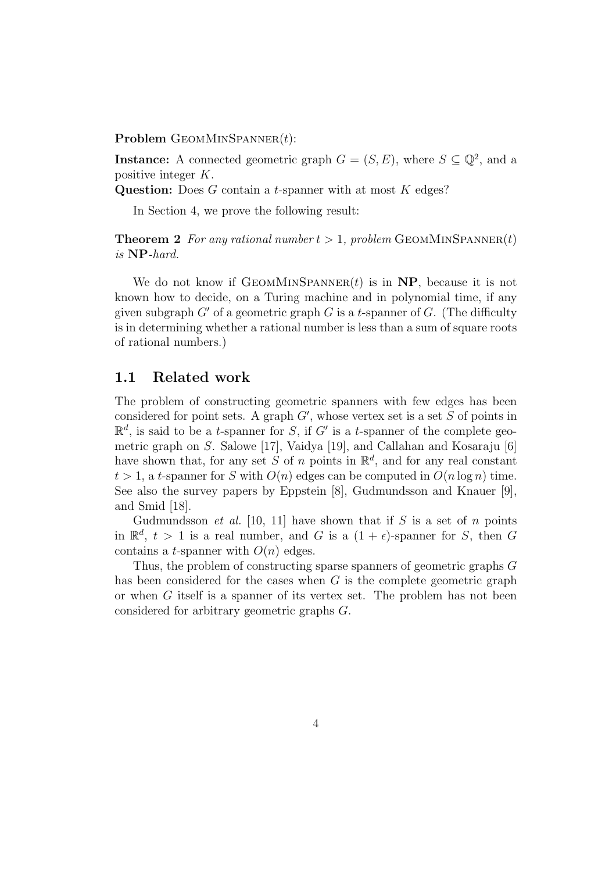Problem  $G$ EOMMINSPANNER $(t)$ :

**Instance:** A connected geometric graph  $G = (S, E)$ , where  $S \subseteq \mathbb{Q}^2$ , and a positive integer K.

Question: Does  $G$  contain a *t*-spanner with at most  $K$  edges?

In Section 4, we prove the following result:

**Theorem 2** For any rational number  $t > 1$ , problem GEOMMINSPANNER(t) is NP-hard.

We do not know if  $G EOMMINSPANNER(t)$  is in NP, because it is not known how to decide, on a Turing machine and in polynomial time, if any given subgraph  $G'$  of a geometric graph G is a t-spanner of G. (The difficulty is in determining whether a rational number is less than a sum of square roots of rational numbers.)

#### 1.1 Related work

The problem of constructing geometric spanners with few edges has been considered for point sets. A graph  $G'$ , whose vertex set is a set  $S$  of points in  $\mathbb{R}^d$ , is said to be a *t*-spanner for S, if G' is a *t*-spanner of the complete geometric graph on S. Salowe [17], Vaidya [19], and Callahan and Kosaraju [6] have shown that, for any set S of n points in  $\mathbb{R}^d$ , and for any real constant  $t > 1$ , a t-spanner for S with  $O(n)$  edges can be computed in  $O(n \log n)$  time. See also the survey papers by Eppstein [8], Gudmundsson and Knauer [9], and Smid [18].

Gudmundsson *et al.* [10, 11] have shown that if S is a set of n points in  $\mathbb{R}^d$ ,  $t > 1$  is a real number, and G is a  $(1 + \epsilon)$ -spanner for S, then G contains a *t*-spanner with  $O(n)$  edges.

Thus, the problem of constructing sparse spanners of geometric graphs G has been considered for the cases when G is the complete geometric graph or when  $G$  itself is a spanner of its vertex set. The problem has not been considered for arbitrary geometric graphs G.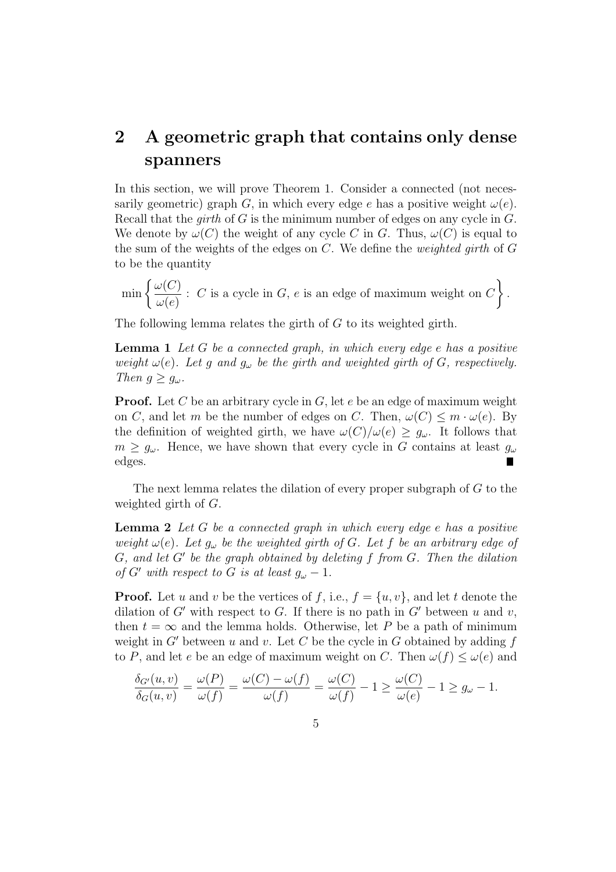## 2 A geometric graph that contains only dense spanners

In this section, we will prove Theorem 1. Consider a connected (not necessarily geometric) graph G, in which every edge e has a positive weight  $\omega(e)$ . Recall that the *girth* of G is the minimum number of edges on any cycle in  $G$ . We denote by  $\omega(C)$  the weight of any cycle C in G. Thus,  $\omega(C)$  is equal to the sum of the weights of the edges on  $C$ . We define the *weighted girth* of  $G$ to be the quantity

 $\min$  $\omega(C)$  $\omega(e)$  $\therefore$  C is a cycle in G, e is an edge of maximum weight on C  $\mathbf{A}^{\dagger}$ .

The following lemma relates the girth of G to its weighted girth.

**Lemma 1** Let G be a connected graph, in which every edge  $e$  has a positive weight  $\omega(e)$ . Let g and  $g_{\omega}$  be the girth and weighted girth of G, respectively. Then  $g \geq g_\omega$ .

**Proof.** Let C be an arbitrary cycle in G, let  $e$  be an edge of maximum weight on C, and let m be the number of edges on C. Then,  $\omega(C) \leq m \cdot \omega(e)$ . By the definition of weighted girth, we have  $\omega(C)/\omega(e) \geq g_{\omega}$ . It follows that  $m \geq g_{\omega}$ . Hence, we have shown that every cycle in G contains at least  $g_{\omega}$ edges.

The next lemma relates the dilation of every proper subgraph of  $G$  to the weighted girth of G.

**Lemma 2** Let G be a connected graph in which every edge  $e$  has a positive weight  $\omega(e)$ . Let  $g_{\omega}$  be the weighted girth of G. Let f be an arbitrary edge of  $G$ , and let  $G'$  be the graph obtained by deleting f from  $G$ . Then the dilation of G' with respect to G is at least  $g_{\omega} - 1$ .

**Proof.** Let u and v be the vertices of f, i.e.,  $f = \{u, v\}$ , and let t denote the dilation of G' with respect to G. If there is no path in G' between u and v, then  $t = \infty$  and the lemma holds. Otherwise, let P be a path of minimum weight in G' between u and v. Let C be the cycle in G obtained by adding f to P, and let e be an edge of maximum weight on C. Then  $\omega(f) \leq \omega(e)$  and

$$
\frac{\delta_{G'}(u,v)}{\delta_G(u,v)} = \frac{\omega(P)}{\omega(f)} = \frac{\omega(C) - \omega(f)}{\omega(f)} = \frac{\omega(C)}{\omega(f)} - 1 \ge \frac{\omega(C)}{\omega(e)} - 1 \ge g_\omega - 1.
$$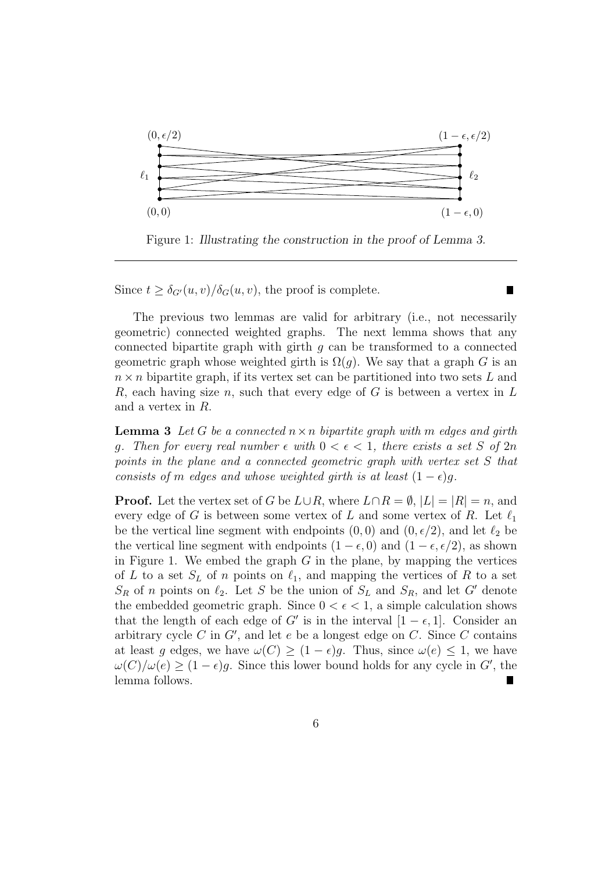

Figure 1: Illustrating the construction in the proof of Lemma 3.

П

Since  $t \geq \delta_{G}(u, v)/\delta_G(u, v)$ , the proof is complete.

The previous two lemmas are valid for arbitrary (i.e., not necessarily geometric) connected weighted graphs. The next lemma shows that any connected bipartite graph with girth  $q$  can be transformed to a connected geometric graph whose weighted girth is  $\Omega(q)$ . We say that a graph G is an  $n \times n$  bipartite graph, if its vertex set can be partitioned into two sets L and R, each having size n, such that every edge of G is between a vertex in  $L$ and a vertex in R.

**Lemma 3** Let G be a connected  $n \times n$  bipartite graph with m edges and girth q. Then for every real number  $\epsilon$  with  $0 < \epsilon < 1$ , there exists a set S of  $2n$ points in the plane and a connected geometric graph with vertex set S that consists of m edges and whose weighted girth is at least  $(1 - \epsilon)q$ .

**Proof.** Let the vertex set of G be  $L \cup R$ , where  $L \cap R = \emptyset$ ,  $|L| = |R| = n$ , and every edge of G is between some vertex of L and some vertex of R. Let  $\ell_1$ be the vertical line segment with endpoints  $(0, 0)$  and  $(0, \epsilon/2)$ , and let  $\ell_2$  be the vertical line segment with endpoints  $(1 - \epsilon, 0)$  and  $(1 - \epsilon, \epsilon/2)$ , as shown in Figure 1. We embed the graph  $G$  in the plane, by mapping the vertices of L to a set  $S_L$  of n points on  $\ell_1$ , and mapping the vertices of R to a set  $S_R$  of n points on  $\ell_2$ . Let S be the union of  $S_L$  and  $S_R$ , and let G' denote the embedded geometric graph. Since  $0 < \epsilon < 1$ , a simple calculation shows that the length of each edge of G' is in the interval  $[1 - \epsilon, 1]$ . Consider an arbitrary cycle C in  $G'$ , and let e be a longest edge on C. Since C contains at least g edges, we have  $\omega(C) \geq (1 - \epsilon)g$ . Thus, since  $\omega(e) \leq 1$ , we have  $\omega(C)/\omega(e) \ge (1 - \epsilon)g$ . Since this lower bound holds for any cycle in G', the lemma follows.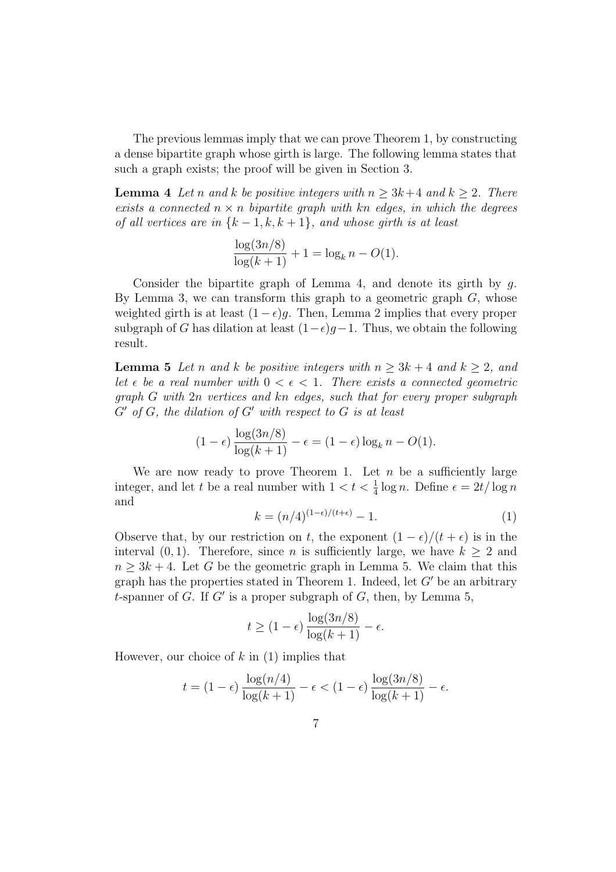The previous lemmas imply that we can prove Theorem 1, by constructing a dense bipartite graph whose girth is large. The following lemma states that such a graph exists; the proof will be given in Section 3.

**Lemma 4** Let n and k be positive integers with  $n \geq 3k+4$  and  $k \geq 2$ . There exists a connected  $n \times n$  bipartite graph with kn edges, in which the degrees of all vertices are in  $\{k-1, k, k+1\}$ , and whose girth is at least

$$
\frac{\log(3n/8)}{\log(k+1)} + 1 = \log_k n - O(1).
$$

Consider the bipartite graph of Lemma 4, and denote its girth by  $q$ . By Lemma 3, we can transform this graph to a geometric graph  $G$ , whose weighted girth is at least  $(1 - \epsilon)g$ . Then, Lemma 2 implies that every proper subgraph of G has dilation at least  $(1-\epsilon)g-1$ . Thus, we obtain the following result.

**Lemma 5** Let n and k be positive integers with  $n \geq 3k + 4$  and  $k \geq 2$ , and let  $\epsilon$  be a real number with  $0 < \epsilon < 1$ . There exists a connected geometric graph G with 2n vertices and kn edges, such that for every proper subgraph  $G'$  of  $G$ , the dilation of  $G'$  with respect to  $G$  is at least

$$
(1 - \epsilon) \frac{\log(3n/8)}{\log(k+1)} - \epsilon = (1 - \epsilon) \log_k n - O(1).
$$

We are now ready to prove Theorem 1. Let  $n$  be a sufficiently large integer, and let t be a real number with  $1 < t < \frac{1}{4} \log n$ . Define  $\epsilon = 2t/\log n$ and

$$
k = (n/4)^{(1-\epsilon)/(t+\epsilon)} - 1.
$$
\n<sup>(1)</sup>

Observe that, by our restriction on t, the exponent  $(1 - \epsilon)/(t + \epsilon)$  is in the interval (0, 1). Therefore, since *n* is sufficiently large, we have  $k \geq 2$  and  $n \geq 3k + 4$ . Let G be the geometric graph in Lemma 5. We claim that this graph has the properties stated in Theorem 1. Indeed, let  $G'$  be an arbitrary t-spanner of G. If G' is a proper subgraph of G, then, by Lemma 5,

$$
t \ge (1 - \epsilon) \frac{\log(3n/8)}{\log(k+1)} - \epsilon.
$$

However, our choice of  $k$  in  $(1)$  implies that

$$
t = (1 - \epsilon) \frac{\log(n/4)}{\log(k+1)} - \epsilon < (1 - \epsilon) \frac{\log(3n/8)}{\log(k+1)} - \epsilon.
$$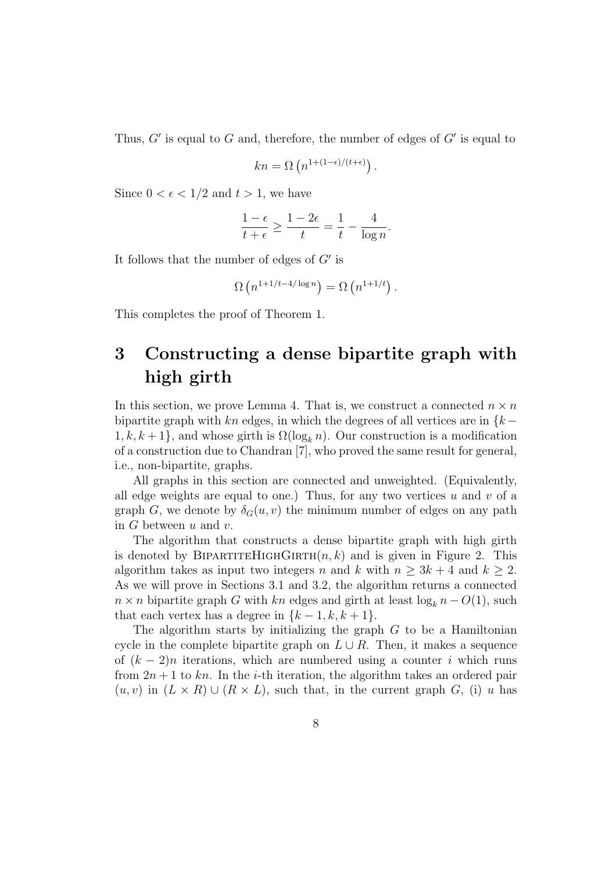Thus,  $G'$  is equal to G and, therefore, the number of edges of  $G'$  is equal to

$$
kn = \Omega\left(n^{1+(1-\epsilon)/(t+\epsilon)}\right).
$$

Since  $0 < \epsilon < 1/2$  and  $t > 1$ , we have

$$
\frac{1-\epsilon}{t+\epsilon} \ge \frac{1-2\epsilon}{t} = \frac{1}{t} - \frac{4}{\log n}.
$$

It follows that the number of edges of  $G'$  is

$$
\Omega\left(n^{1+1/t-4/\log n}\right) = \Omega\left(n^{1+1/t}\right).
$$

This completes the proof of Theorem 1.

## 3 Constructing a dense bipartite graph with high girth

In this section, we prove Lemma 4. That is, we construct a connected  $n \times n$ bipartite graph with kn edges, in which the degrees of all vertices are in  $\{k 1, k, k+1$ , and whose girth is  $\Omega(\log_k n)$ . Our construction is a modification of a construction due to Chandran [7], who proved the same result for general, i.e., non-bipartite, graphs.

All graphs in this section are connected and unweighted. (Equivalently, all edge weights are equal to one.) Thus, for any two vertices  $u$  and  $v$  of a graph G, we denote by  $\delta_G(u, v)$  the minimum number of edges on any path in  $G$  between  $u$  and  $v$ .

The algorithm that constructs a dense bipartite graph with high girth is denoted by BIPARTITEHIGHGIRTH $(n, k)$  and is given in Figure 2. This algorithm takes as input two integers n and k with  $n \geq 3k + 4$  and  $k \geq 2$ . As we will prove in Sections 3.1 and 3.2, the algorithm returns a connected  $n \times n$  bipartite graph G with kn edges and girth at least  $\log_k n - O(1)$ , such that each vertex has a degree in  $\{k-1, k, k+1\}.$ 

The algorithm starts by initializing the graph  $G$  to be a Hamiltonian cycle in the complete bipartite graph on  $L \cup R$ . Then, it makes a sequence of  $(k-2)n$  iterations, which are numbered using a counter i which runs from  $2n + 1$  to kn. In the *i*-th iteration, the algorithm takes an ordered pair  $(u, v)$  in  $(L \times R) \cup (R \times L)$ , such that, in the current graph G, (i) u has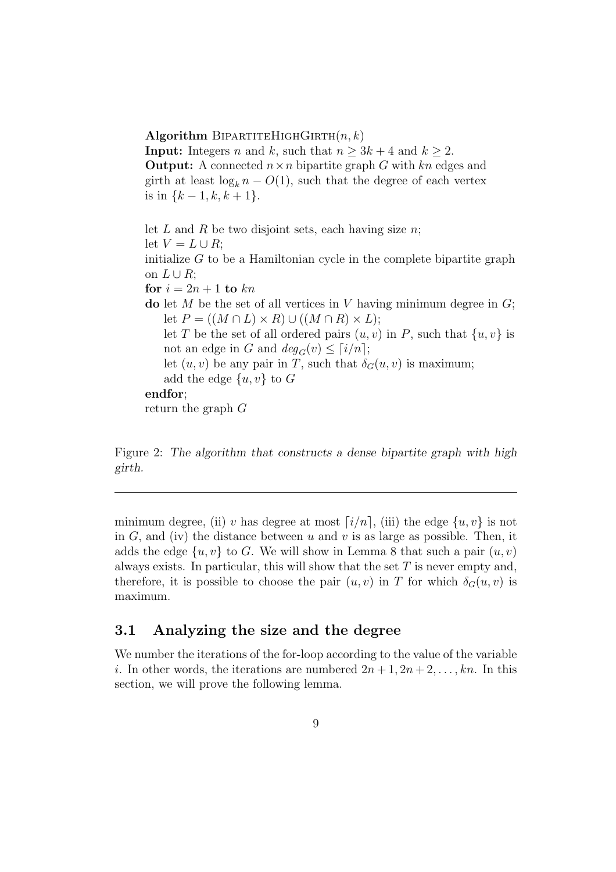#### Algorithm BIPARTITEHIGHGIRTH $(n, k)$

**Input:** Integers *n* and *k*, such that  $n \geq 3k + 4$  and  $k \geq 2$ . **Output:** A connected  $n \times n$  bipartite graph G with kn edges and girth at least  $\log_k n - O(1)$ , such that the degree of each vertex is in  $\{k-1, k, k+1\}.$ 

let L and R be two disjoint sets, each having size  $n$ ; let  $V = L \cup R$ ; initialize  $G$  to be a Hamiltonian cycle in the complete bipartite graph on  $L \cup R$ ; for  $i = 2n + 1$  to  $kn$ do let M be the set of all vertices in V having minimum degree in  $G$ ; let  $P = ((M \cap L) \times R) \cup ((M \cap R) \times L);$ let T be the set of all ordered pairs  $(u, v)$  in P, such that  $\{u, v\}$  is not an edge in G and  $deg_G(v) \leq \lceil i/n \rceil;$ let  $(u, v)$  be any pair in T, such that  $\delta_G(u, v)$  is maximum; add the edge  $\{u, v\}$  to G endfor; return the graph G

Figure 2: The algorithm that constructs a dense bipartite graph with high girth.

minimum degree, (ii) v has degree at most  $[i/n]$ , (iii) the edge  $\{u, v\}$  is not in  $G$ , and (iv) the distance between u and v is as large as possible. Then, it adds the edge  $\{u, v\}$  to G. We will show in Lemma 8 that such a pair  $(u, v)$ always exists. In particular, this will show that the set  $T$  is never empty and, therefore, it is possible to choose the pair  $(u, v)$  in T for which  $\delta_G(u, v)$  is maximum.

#### 3.1 Analyzing the size and the degree

We number the iterations of the for-loop according to the value of the variable i. In other words, the iterations are numbered  $2n+1, 2n+2, \ldots, kn$ . In this section, we will prove the following lemma.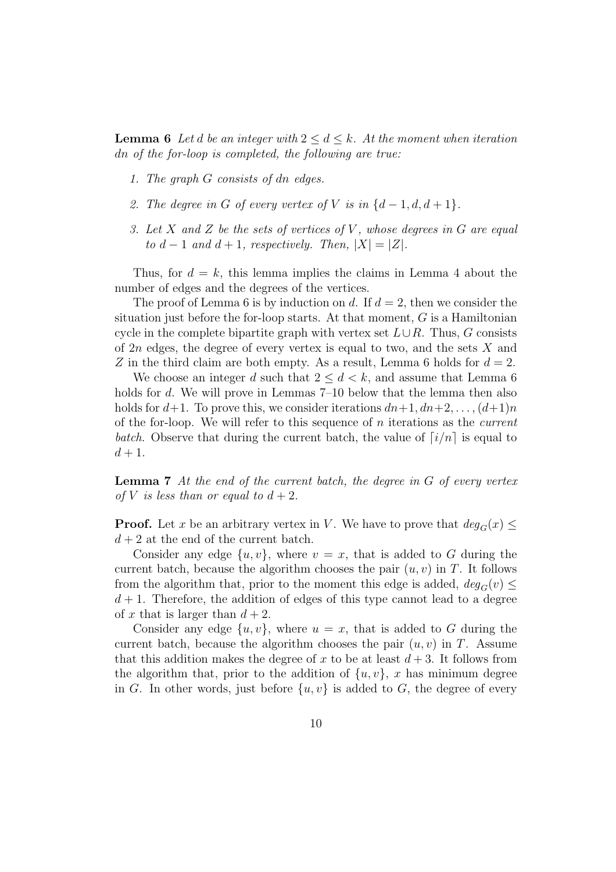**Lemma 6** Let d be an integer with  $2 \leq d \leq k$ . At the moment when iteration dn of the for-loop is completed, the following are true:

- 1. The graph G consists of dn edges.
- 2. The degree in G of every vertex of V is in  $\{d-1, d, d+1\}$ .
- 3. Let X and Z be the sets of vertices of V, whose degrees in G are equal to  $d-1$  and  $d+1$ , respectively. Then,  $|X|=|Z|$ .

Thus, for  $d = k$ , this lemma implies the claims in Lemma 4 about the number of edges and the degrees of the vertices.

The proof of Lemma 6 is by induction on d. If  $d = 2$ , then we consider the situation just before the for-loop starts. At that moment,  $G$  is a Hamiltonian cycle in the complete bipartite graph with vertex set  $L \cup R$ . Thus, G consists of  $2n$  edges, the degree of every vertex is equal to two, and the sets  $X$  and Z in the third claim are both empty. As a result, Lemma 6 holds for  $d = 2$ .

We choose an integer d such that  $2 \leq d \leq k$ , and assume that Lemma 6 holds for d. We will prove in Lemmas 7–10 below that the lemma then also holds for  $d+1$ . To prove this, we consider iterations  $dn+1, dn+2, \ldots, (d+1)n$ of the for-loop. We will refer to this sequence of n iterations as the *current* batch. Observe that during the current batch, the value of  $\lceil i/n \rceil$  is equal to  $d+1$ .

**Lemma 7** At the end of the current batch, the degree in  $G$  of every vertex of V is less than or equal to  $d+2$ .

**Proof.** Let x be an arbitrary vertex in V. We have to prove that  $deg_G(x) \leq$  $d+2$  at the end of the current batch.

Consider any edge  $\{u, v\}$ , where  $v = x$ , that is added to G during the current batch, because the algorithm chooses the pair  $(u, v)$  in T. It follows from the algorithm that, prior to the moment this edge is added,  $deg_G(v) \leq$  $d+1$ . Therefore, the addition of edges of this type cannot lead to a degree of x that is larger than  $d + 2$ .

Consider any edge  $\{u, v\}$ , where  $u = x$ , that is added to G during the current batch, because the algorithm chooses the pair  $(u, v)$  in T. Assume that this addition makes the degree of x to be at least  $d+3$ . It follows from the algorithm that, prior to the addition of  $\{u, v\}$ , x has minimum degree in G. In other words, just before  $\{u, v\}$  is added to G, the degree of every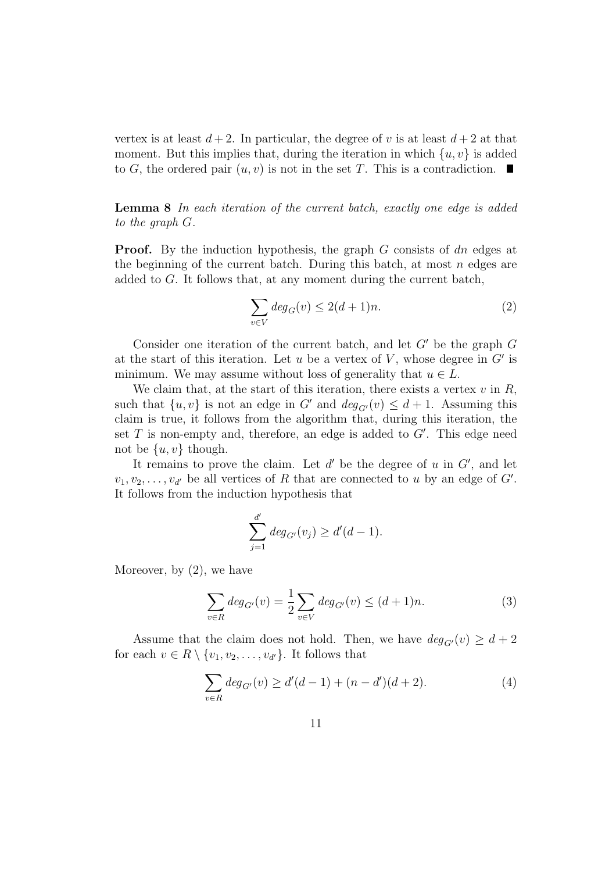vertex is at least  $d+2$ . In particular, the degree of v is at least  $d+2$  at that moment. But this implies that, during the iteration in which  $\{u, v\}$  is added to G, the ordered pair  $(u, v)$  is not in the set T. This is a contradiction.

Lemma 8 In each iteration of the current batch, exactly one edge is added to the graph G.

**Proof.** By the induction hypothesis, the graph  $G$  consists of dn edges at the beginning of the current batch. During this batch, at most  $n$  edges are added to G. It follows that, at any moment during the current batch,

$$
\sum_{v \in V} deg_G(v) \le 2(d+1)n.
$$
 (2)

Consider one iteration of the current batch, and let  $G'$  be the graph  $G$ at the start of this iteration. Let u be a vertex of  $V$ , whose degree in  $G'$  is minimum. We may assume without loss of generality that  $u \in L$ .

We claim that, at the start of this iteration, there exists a vertex  $v$  in  $R$ , such that  $\{u, v\}$  is not an edge in G' and  $deg_{G}(v) \leq d+1$ . Assuming this claim is true, it follows from the algorithm that, during this iteration, the set  $T$  is non-empty and, therefore, an edge is added to  $G'$ . This edge need not be  $\{u, v\}$  though.

It remains to prove the claim. Let  $d'$  be the degree of u in  $G'$ , and let  $v_1, v_2, \ldots, v_{d'}$  be all vertices of R that are connected to u by an edge of G'. It follows from the induction hypothesis that

$$
\sum_{j=1}^{d'} deg_{G'}(v_j) \ge d'(d-1).
$$

Moreover, by  $(2)$ , we have

$$
\sum_{v \in R} deg_{G'}(v) = \frac{1}{2} \sum_{v \in V} deg_{G'}(v) \le (d+1)n.
$$
 (3)

Assume that the claim does not hold. Then, we have  $deg_{G}(v) \geq d+2$ for each  $v \in R \setminus \{v_1, v_2, \ldots, v_{d'}\}$ . It follows that

$$
\sum_{v \in R} deg_{G'}(v) \ge d'(d-1) + (n-d')(d+2). \tag{4}
$$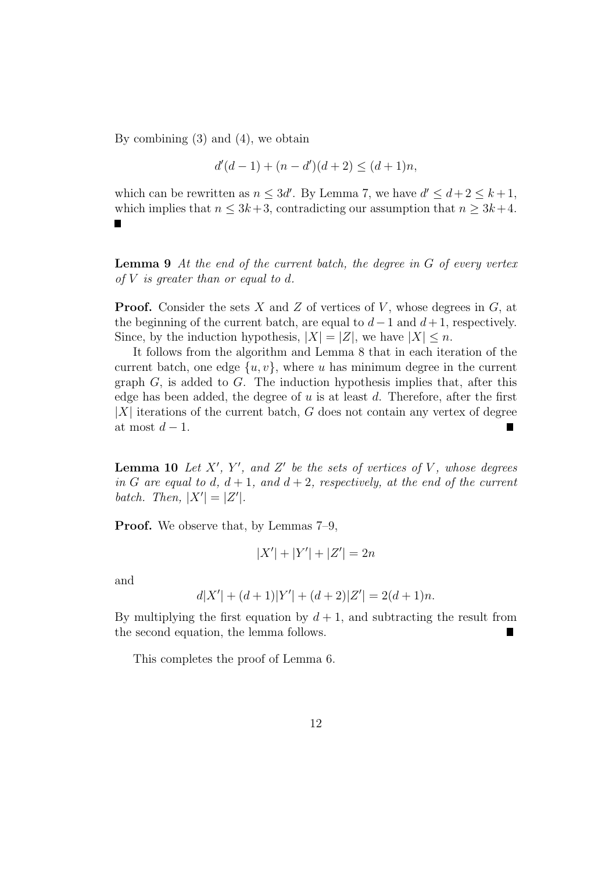By combining (3) and (4), we obtain

$$
d'(d-1) + (n - d')(d+2) \le (d+1)n,
$$

which can be rewritten as  $n \leq 3d'$ . By Lemma 7, we have  $d' \leq d+2 \leq k+1$ , which implies that  $n \leq 3k+3$ , contradicting our assumption that  $n \geq 3k+4$ .

**Lemma 9** At the end of the current batch, the degree in  $G$  of every vertex of  $V$  is greater than or equal to  $d$ .

**Proof.** Consider the sets X and Z of vertices of V, whose degrees in  $G$ , at the beginning of the current batch, are equal to  $d-1$  and  $d+1$ , respectively. Since, by the induction hypothesis,  $|X| = |Z|$ , we have  $|X| \leq n$ .

It follows from the algorithm and Lemma 8 that in each iteration of the current batch, one edge  $\{u, v\}$ , where u has minimum degree in the current graph  $G$ , is added to  $G$ . The induction hypothesis implies that, after this edge has been added, the degree of  $u$  is at least  $d$ . Therefore, after the first  $|X|$  iterations of the current batch, G does not contain any vertex of degree at most  $d-1$ .

**Lemma 10** Let  $X'$ ,  $Y'$ , and  $Z'$  be the sets of vertices of V, whose degrees in G are equal to d,  $d + 1$ , and  $d + 2$ , respectively, at the end of the current batch. Then,  $|X'| = |Z'|$ .

Proof. We observe that, by Lemmas 7–9,

$$
|X'| + |Y'| + |Z'| = 2n
$$

and

$$
d|X'| + (d+1)|Y'| + (d+2)|Z'| = 2(d+1)n.
$$

By multiplying the first equation by  $d+1$ , and subtracting the result from the second equation, the lemma follows.

This completes the proof of Lemma 6.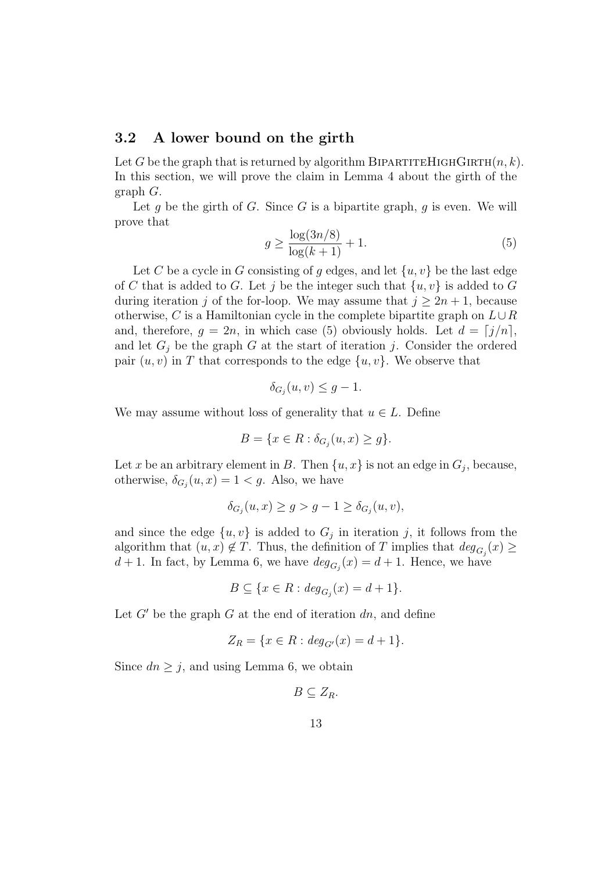#### 3.2 A lower bound on the girth

Let G be the graph that is returned by algorithm BIPARTITEHIGHGIRTH $(n, k)$ . In this section, we will prove the claim in Lemma 4 about the girth of the graph G.

Let g be the girth of G. Since G is a bipartite graph, g is even. We will prove that

$$
g \ge \frac{\log(3n/8)}{\log(k+1)} + 1.
$$
 (5)

Let C be a cycle in G consisting of g edges, and let  $\{u, v\}$  be the last edge of C that is added to G. Let j be the integer such that  $\{u, v\}$  is added to G during iteration j of the for-loop. We may assume that  $j \geq 2n + 1$ , because otherwise, C is a Hamiltonian cycle in the complete bipartite graph on  $L\cup R$ and, therefore,  $g = 2n$ , in which case (5) obviously holds. Let  $d = \lfloor j/n \rfloor$ , and let  $G_j$  be the graph G at the start of iteration j. Consider the ordered pair  $(u, v)$  in T that corresponds to the edge  $\{u, v\}$ . We observe that

$$
\delta_{G_j}(u,v) \le g - 1.
$$

We may assume without loss of generality that  $u \in L$ . Define

$$
B = \{x \in R : \delta_{G_j}(u, x) \ge g\}.
$$

Let x be an arbitrary element in B. Then  $\{u, x\}$  is not an edge in  $G_j$ , because, otherwise,  $\delta_{G_j}(u, x) = 1 < g$ . Also, we have

$$
\delta_{G_j}(u, x) \ge g > g - 1 \ge \delta_{G_j}(u, v),
$$

and since the edge  $\{u, v\}$  is added to  $G_j$  in iteration j, it follows from the algorithm that  $(u, x) \notin T$ . Thus, the definition of T implies that  $deg_{G_j}(x) \geq$  $d+1$ . In fact, by Lemma 6, we have  $deg_{G_j}(x) = d+1$ . Hence, we have

$$
B \subseteq \{x \in R : deg_{G_j}(x) = d + 1\}.
$$

Let  $G'$  be the graph G at the end of iteration dn, and define

$$
Z_R = \{ x \in R : deg_{G'}(x) = d + 1 \}.
$$

Since  $dn \geq j$ , and using Lemma 6, we obtain

$$
B\subseteq Z_R.
$$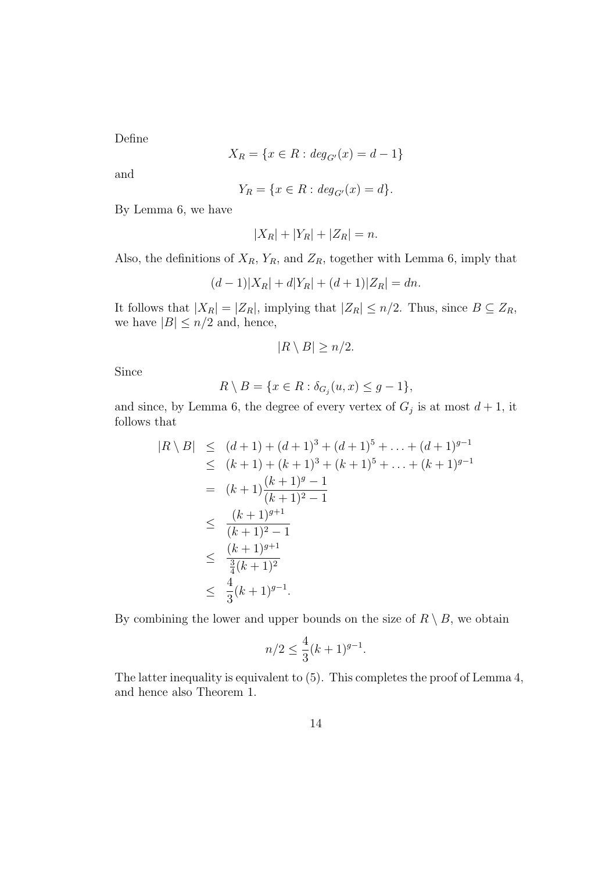Define

$$
X_R = \{ x \in R : deg_{G'}(x) = d - 1 \}
$$

and

$$
Y_R = \{ x \in R : deg_{G'}(x) = d \}.
$$

By Lemma 6, we have

$$
|X_R| + |Y_R| + |Z_R| = n.
$$

Also, the definitions of  $X_R$ ,  $Y_R$ , and  $Z_R$ , together with Lemma 6, imply that

$$
(d-1)|X_R| + d|Y_R| + (d+1)|Z_R| = dn.
$$

It follows that  $|X_R| = |Z_R|$ , implying that  $|Z_R| \le n/2$ . Thus, since  $B \subseteq Z_R$ , we have  $|B| \leq n/2$  and, hence,

$$
|R \setminus B| \ge n/2.
$$

Since

$$
R \setminus B = \{x \in R : \delta_{G_j}(u, x) \le g - 1\},\
$$

and since, by Lemma 6, the degree of every vertex of  $G_j$  is at most  $d+1$ , it follows that

$$
|R \setminus B| \le (d+1) + (d+1)^3 + (d+1)^5 + \dots + (d+1)^{g-1}
$$
  
\n
$$
\le (k+1) + (k+1)^3 + (k+1)^5 + \dots + (k+1)^{g-1}
$$
  
\n
$$
= (k+1) \frac{(k+1)^g - 1}{(k+1)^2 - 1}
$$
  
\n
$$
\le \frac{(k+1)^{g+1}}{(k+1)^2 - 1}
$$
  
\n
$$
\le \frac{(k+1)^{g+1}}{\frac{3}{4}(k+1)^2}
$$
  
\n
$$
\le \frac{4}{3}(k+1)^{g-1}.
$$

By combining the lower and upper bounds on the size of  $R \setminus B$ , we obtain

$$
n/2 \le \frac{4}{3}(k+1)^{g-1}.
$$

The latter inequality is equivalent to (5). This completes the proof of Lemma 4, and hence also Theorem 1.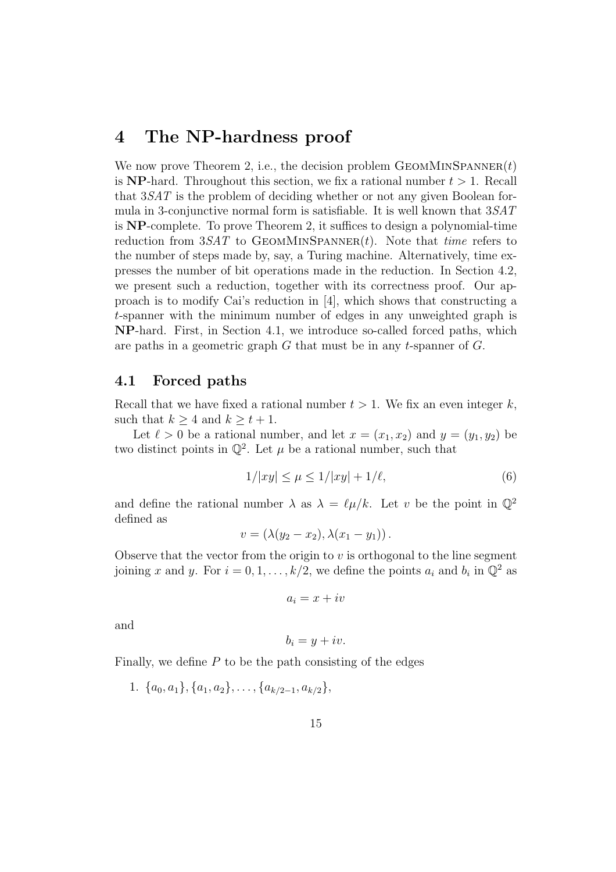### 4 The NP-hardness proof

We now prove Theorem 2, i.e., the decision problem  $G$ EOMMINSPANNER $(t)$ is NP-hard. Throughout this section, we fix a rational number  $t > 1$ . Recall that 3SAT is the problem of deciding whether or not any given Boolean formula in 3-conjunctive normal form is satisfiable. It is well known that  $3SAT$ is NP-complete. To prove Theorem 2, it suffices to design a polynomial-time reduction from  $3SAT$  to GEOMMINSPANNER $(t)$ . Note that *time* refers to the number of steps made by, say, a Turing machine. Alternatively, time expresses the number of bit operations made in the reduction. In Section 4.2, we present such a reduction, together with its correctness proof. Our approach is to modify Cai's reduction in [4], which shows that constructing a t-spanner with the minimum number of edges in any unweighted graph is NP-hard. First, in Section 4.1, we introduce so-called forced paths, which are paths in a geometric graph  $G$  that must be in any t-spanner of  $G$ .

#### 4.1 Forced paths

Recall that we have fixed a rational number  $t > 1$ . We fix an even integer k, such that  $k \geq 4$  and  $k \geq t+1$ .

Let  $\ell > 0$  be a rational number, and let  $x = (x_1, x_2)$  and  $y = (y_1, y_2)$  be two distinct points in  $\mathbb{Q}^2$ . Let  $\mu$  be a rational number, such that

$$
1/|xy| \le \mu \le 1/|xy| + 1/\ell,\tag{6}
$$

and define the rational number  $\lambda$  as  $\lambda = \ell \mu / k$ . Let v be the point in  $\mathbb{Q}^2$ defined as

$$
v = (\lambda(y_2 - x_2), \lambda(x_1 - y_1)).
$$

Observe that the vector from the origin to  $v$  is orthogonal to the line segment joining x and y. For  $i = 0, 1, ..., k/2$ , we define the points  $a_i$  and  $b_i$  in  $\mathbb{Q}^2$  as

$$
a_i=x+iv
$$

and

$$
b_i = y + iv.
$$

Finally, we define  $P$  to be the path consisting of the edges

1.  $\{a_0, a_1\}, \{a_1, a_2\}, \ldots, \{a_{k/2-1}, a_{k/2}\},\$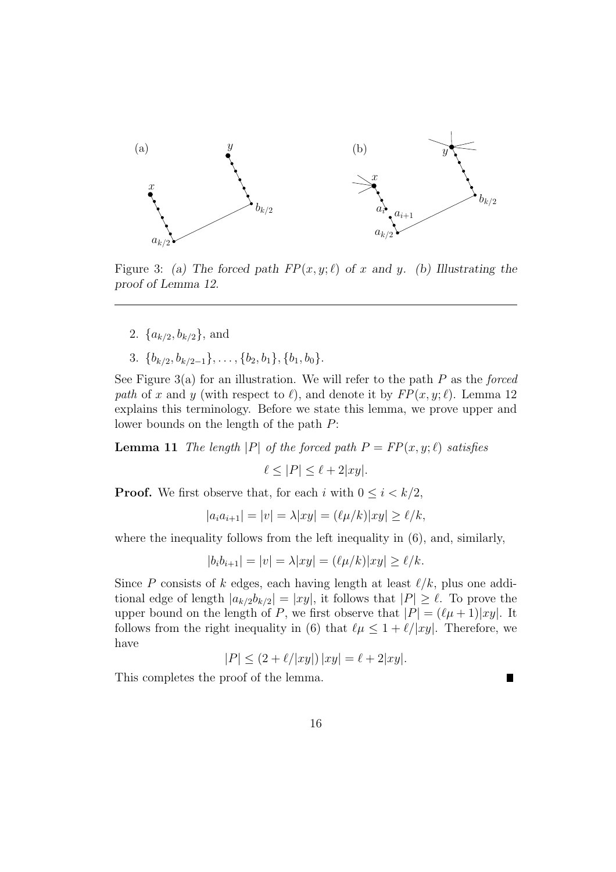

Figure 3: (a) The forced path  $FP(x, y; \ell)$  of x and y. (b) Illustrating the proof of Lemma 12.

- 2.  $\{a_{k/2}, b_{k/2}\}\$ , and
- 3.  ${b_{k/2}, b_{k/2-1}}, \ldots, {b_2, b_1}, {b_1, b_0}.$

See Figure 3(a) for an illustration. We will refer to the path  $P$  as the forced path of x and y (with respect to  $\ell$ ), and denote it by  $FP(x, y; \ell)$ . Lemma 12 explains this terminology. Before we state this lemma, we prove upper and lower bounds on the length of the path P:

**Lemma 11** The length |P| of the forced path  $P = FP(x, y; \ell)$  satisfies

$$
\ell \leq |P| \leq \ell + 2|xy|.
$$

**Proof.** We first observe that, for each i with  $0 \leq i < k/2$ ,

$$
|a_i a_{i+1}| = |v| = \lambda |xy| = (\ell \mu / k) |xy| \ge \ell / k,
$$

where the inequality follows from the left inequality in  $(6)$ , and, similarly,

$$
|b_i b_{i+1}| = |v| = \lambda |xy| = (\ell \mu / k) |xy| \ge \ell / k.
$$

Since P consists of k edges, each having length at least  $\ell/k$ , plus one additional edge of length  $|a_{k/2}b_{k/2}| = |xy|$ , it follows that  $|P| \geq \ell$ . To prove the upper bound on the length of P, we first observe that  $|P| = (\ell \mu + 1)|xy|$ . It follows from the right inequality in (6) that  $\ell \mu \leq 1 + \ell/|xy|$ . Therefore, we have

$$
|P| \le (2 + \ell / |xy|) |xy| = \ell + 2|xy|.
$$

This completes the proof of the lemma.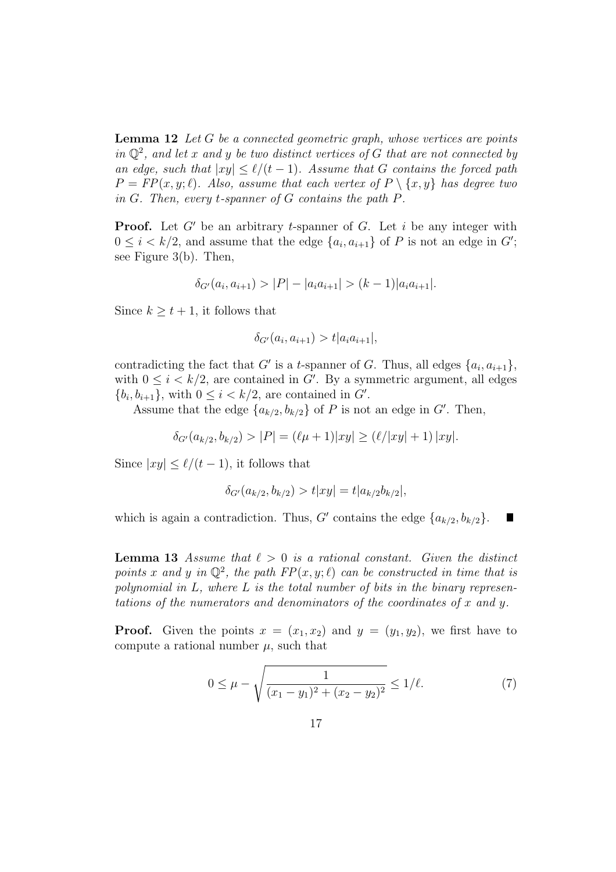**Lemma 12** Let  $G$  be a connected geometric graph, whose vertices are points in  $\mathbb{Q}^2$ , and let x and y be two distinct vertices of G that are not connected by an edge, such that  $|xy| \leq \ell/(t-1)$ . Assume that G contains the forced path  $P = FP(x, y; \ell)$ . Also, assume that each vertex of  $P \setminus \{x, y\}$  has degree two in  $G$ . Then, every *t*-spanner of  $G$  contains the path  $P$ .

**Proof.** Let  $G'$  be an arbitrary t-spanner of  $G$ . Let i be any integer with  $0 \leq i < k/2$ , and assume that the edge  $\{a_i, a_{i+1}\}\$  of P is not an edge in G'; see Figure 3(b). Then,

$$
\delta_{G'}(a_i, a_{i+1}) > |P| - |a_i a_{i+1}| > (k-1)|a_i a_{i+1}|.
$$

Since  $k \geq t+1$ , it follows that

$$
\delta_{G'}(a_i, a_{i+1}) > t |a_i a_{i+1}|,
$$

contradicting the fact that G' is a t-spanner of G. Thus, all edges  $\{a_i, a_{i+1}\},\$ with  $0 \leq i < k/2$ , are contained in G'. By a symmetric argument, all edges  $\{b_i, b_{i+1}\},\$  with  $0 \leq i < k/2$ , are contained in  $G'$ .

Assume that the edge  $\{a_{k/2}, b_{k/2}\}\$  of P is not an edge in G'. Then,

$$
\delta_{G'}(a_{k/2}, b_{k/2}) > |P| = (\ell \mu + 1)|xy| \ge (\ell/|xy| + 1) |xy|.
$$

Since  $|xy| \le \ell/(t-1)$ , it follows that

$$
\delta_{G'}(a_{k/2}, b_{k/2}) > t |xy| = t |a_{k/2}b_{k/2}|,
$$

which is again a contradiction. Thus, G' contains the edge  $\{a_{k/2}, b_{k/2}\}.$ 

**Lemma 13** Assume that  $\ell > 0$  is a rational constant. Given the distinct points x and y in  $\mathbb{Q}^2$ , the path  $FP(x, y; \ell)$  can be constructed in time that is polynomial in  $L$ , where  $L$  is the total number of bits in the binary representations of the numerators and denominators of the coordinates of x and y.

**Proof.** Given the points  $x = (x_1, x_2)$  and  $y = (y_1, y_2)$ , we first have to compute a rational number  $\mu$ , such that

$$
0 \le \mu - \sqrt{\frac{1}{(x_1 - y_1)^2 + (x_2 - y_2)^2}} \le 1/\ell.
$$
 (7)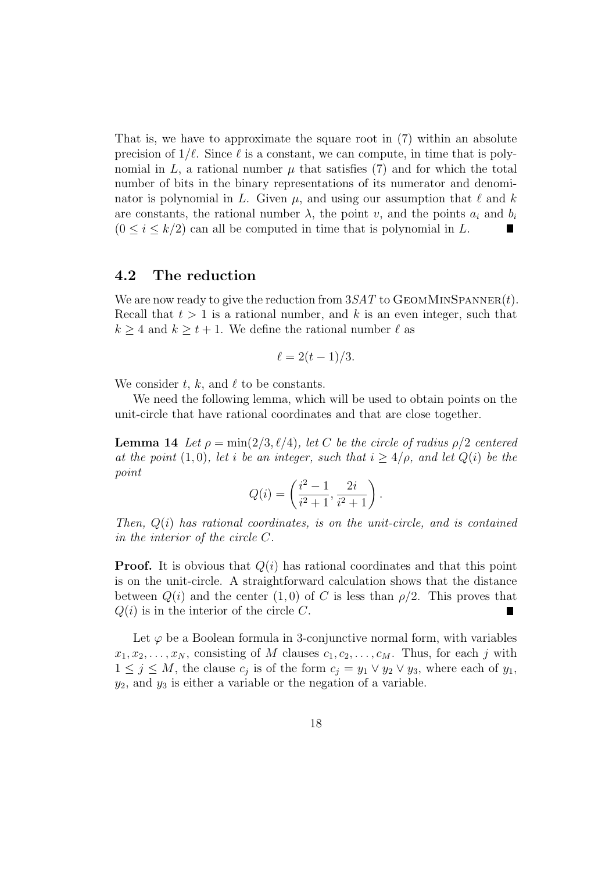That is, we have to approximate the square root in (7) within an absolute precision of  $1/\ell$ . Since  $\ell$  is a constant, we can compute, in time that is polynomial in L, a rational number  $\mu$  that satisfies (7) and for which the total number of bits in the binary representations of its numerator and denominator is polynomial in L. Given  $\mu$ , and using our assumption that  $\ell$  and k are constants, the rational number  $\lambda$ , the point v, and the points  $a_i$  and  $b_i$  $(0 \leq i \leq k/2)$  can all be computed in time that is polynomial in L.

#### 4.2 The reduction

We are now ready to give the reduction from  $3SAT$  to GEOMMINSPANNER(t). Recall that  $t > 1$  is a rational number, and k is an even integer, such that  $k \geq 4$  and  $k \geq t + 1$ . We define the rational number  $\ell$  as

$$
\ell = 2(t-1)/3.
$$

We consider t, k, and  $\ell$  to be constants.

We need the following lemma, which will be used to obtain points on the unit-circle that have rational coordinates and that are close together.

**Lemma 14** Let  $\rho = \min(2/3, l/4)$ , let C be the circle of radius  $\rho/2$  centered at the point (1,0), let i be an integer, such that  $i \geq 4/\rho$ , and let  $Q(i)$  be the point

$$
Q(i) = \left(\frac{i^2 - 1}{i^2 + 1}, \frac{2i}{i^2 + 1}\right).
$$

Then,  $Q(i)$  has rational coordinates, is on the unit-circle, and is contained in the interior of the circle C.

**Proof.** It is obvious that  $Q(i)$  has rational coordinates and that this point is on the unit-circle. A straightforward calculation shows that the distance between  $Q(i)$  and the center  $(1, 0)$  of C is less than  $\rho/2$ . This proves that  $Q(i)$  is in the interior of the circle C.

Let  $\varphi$  be a Boolean formula in 3-conjunctive normal form, with variables  $x_1, x_2, \ldots, x_N$ , consisting of M clauses  $c_1, c_2, \ldots, c_M$ . Thus, for each j with  $1 \leq j \leq M$ , the clause  $c_j$  is of the form  $c_j = y_1 \vee y_2 \vee y_3$ , where each of  $y_1$ ,  $y_2$ , and  $y_3$  is either a variable or the negation of a variable.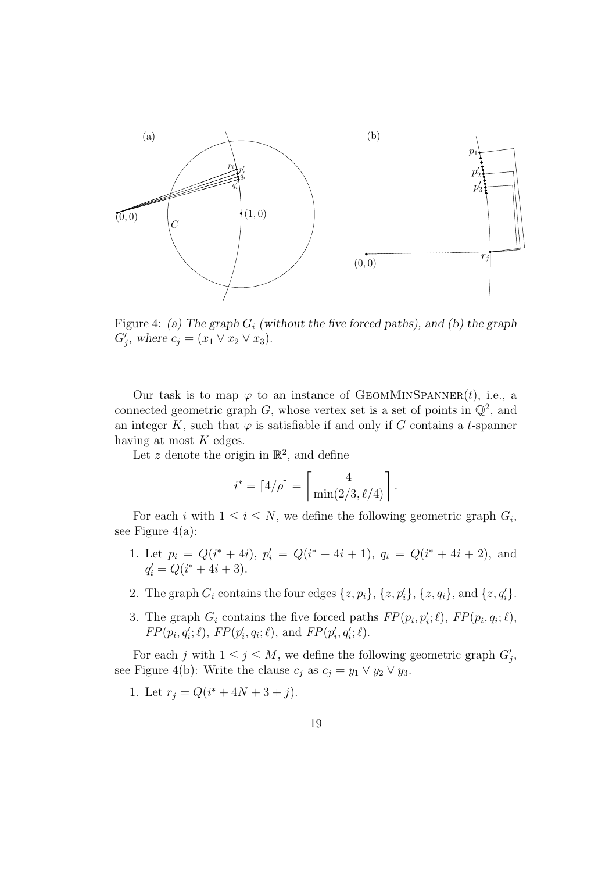

Figure 4: (a) The graph  $G_i$  (without the five forced paths), and (b) the graph  $G'_{j}$ , where  $c_{j} = (x_1 \vee \overline{x_2} \vee \overline{x_3}).$ 

Our task is to map  $\varphi$  to an instance of GEOMMINSPANNER(t), i.e., a connected geometric graph G, whose vertex set is a set of points in  $\mathbb{Q}^2$ , and an integer K, such that  $\varphi$  is satisfiable if and only if G contains a t-spanner having at most  $K$  edges.

Let z denote the origin in  $\mathbb{R}^2$ , and define

$$
i^* = \lceil 4/\rho \rceil = \left\lceil \frac{4}{\min(2/3, \ell/4)} \right\rceil.
$$

For each i with  $1 \leq i \leq N$ , we define the following geometric graph  $G_i$ , see Figure  $4(a)$ :

- 1. Let  $p_i = Q(i^* + 4i), p'_i = Q(i^* + 4i + 1), q_i = Q(i^* + 4i + 2),$  and  $q'_i = Q(i^* + 4i + 3).$
- 2. The graph  $G_i$  contains the four edges  $\{z, p_i\}$ ,  $\{z, p'_i\}$ ,  $\{z, q_i\}$ , and  $\{z, q'_i\}$ .
- 3. The graph  $G_i$  contains the five forced paths  $FP(p_i, p'_i; \ell)$ ,  $FP(p_i, q_i; \ell)$ ,  $FP(p_i, q'_i; \ell), FP(p'_i, q_i; \ell), \text{ and } FP(p'_i, q'_i; \ell).$

For each j with  $1 \leq j \leq M$ , we define the following geometric graph  $G'_{j}$ , see Figure 4(b): Write the clause  $c_j$  as  $c_j = y_1 \vee y_2 \vee y_3$ .

1. Let  $r_j = Q(i^* + 4N + 3 + j)$ .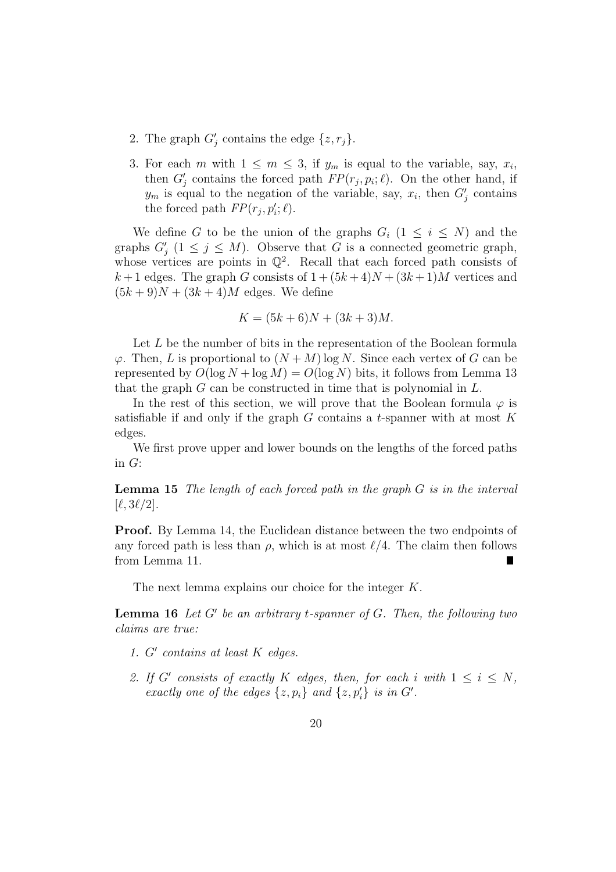- 2. The graph  $G'_j$  contains the edge  $\{z, r_j\}$ .
- 3. For each m with  $1 \leq m \leq 3$ , if  $y_m$  is equal to the variable, say,  $x_i$ , then  $G'_{j}$  contains the forced path  $FP(r_j, p_i; \ell)$ . On the other hand, if  $y_m$  is equal to the negation of the variable, say,  $x_i$ , then  $G'_j$  contains the forced path  $FP(r_j, p'_i; \ell)$ .

We define G to be the union of the graphs  $G_i$   $(1 \leq i \leq N)$  and the graphs  $G'_{j}$   $(1 \leq j \leq M)$ . Observe that G is a connected geometric graph, whose vertices are points in  $\mathbb{Q}^2$ . Recall that each forced path consists of  $k+1$  edges. The graph G consists of  $1 + (5k+4)N + (3k+1)M$  vertices and  $(5k+9)N + (3k+4)M$  edges. We define

$$
K = (5k + 6)N + (3k + 3)M.
$$

Let L be the number of bits in the representation of the Boolean formula  $\varphi$ . Then, L is proportional to  $(N+M)$  log N. Since each vertex of G can be represented by  $O(\log N + \log M) = O(\log N)$  bits, it follows from Lemma 13 that the graph  $G$  can be constructed in time that is polynomial in  $L$ .

In the rest of this section, we will prove that the Boolean formula  $\varphi$  is satisfiable if and only if the graph  $G$  contains a t-spanner with at most  $K$ edges.

We first prove upper and lower bounds on the lengths of the forced paths in G:

**Lemma 15** The length of each forced path in the graph  $G$  is in the interval  $[\ell, 3\ell/2]$ .

Proof. By Lemma 14, the Euclidean distance between the two endpoints of any forced path is less than  $\rho$ , which is at most  $\ell/4$ . The claim then follows from Lemma 11.

The next lemma explains our choice for the integer K.

**Lemma 16** Let  $G'$  be an arbitrary t-spanner of  $G$ . Then, the following two claims are true:

- 1.  $G'$  contains at least  $K$  edges.
- 2. If G' consists of exactly K edges, then, for each i with  $1 \leq i \leq N$ , exactly one of the edges  $\{z, p_i\}$  and  $\{z, p'_i\}$  is in G'.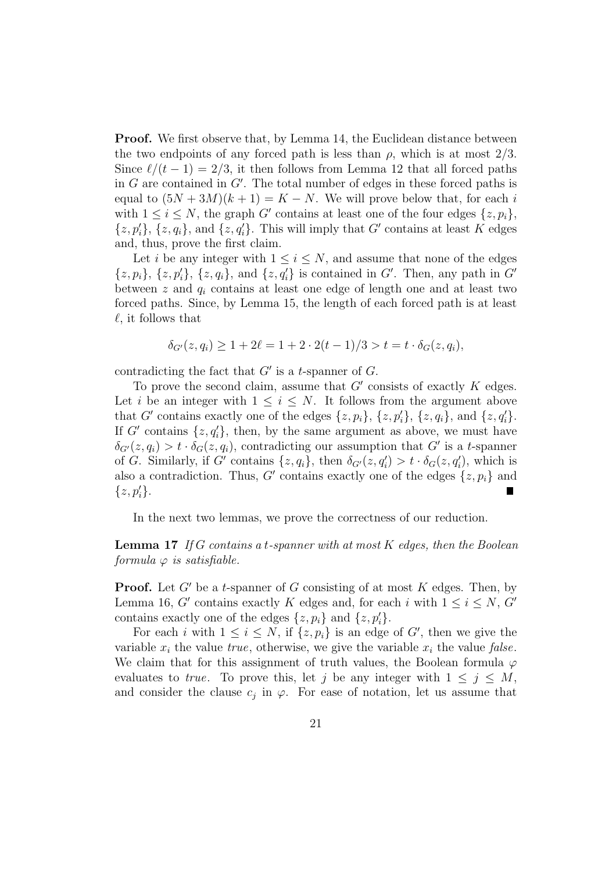**Proof.** We first observe that, by Lemma 14, the Euclidean distance between the two endpoints of any forced path is less than  $\rho$ , which is at most 2/3. Since  $\ell/(t - 1) = 2/3$ , it then follows from Lemma 12 that all forced paths in  $G$  are contained in  $G'$ . The total number of edges in these forced paths is equal to  $(5N+3M)(k+1) = K - N$ . We will prove below that, for each i with  $1 \leq i \leq N$ , the graph G' contains at least one of the four edges  $\{z, p_i\}$ ,  $\{z, p'_i\}, \{z, q_i\},\$ and  $\{z, q'_i\}.$  This will imply that G' contains at least K edges and, thus, prove the first claim.

Let i be any integer with  $1 \leq i \leq N$ , and assume that none of the edges  $\{z, p_i\}, \{z, p'_i\}, \{z, q_i\}, \text{ and } \{z, q'_i\} \text{ is contained in } G'. \text{ Then, any path in } G'$ between z and  $q_i$  contains at least one edge of length one and at least two forced paths. Since, by Lemma 15, the length of each forced path is at least  $\ell$ , it follows that

$$
\delta_{G'}(z, q_i) \ge 1 + 2\ell = 1 + 2 \cdot 2(t - 1)/3 > t = t \cdot \delta_G(z, q_i),
$$

contradicting the fact that  $G'$  is a t-spanner of  $G$ .

To prove the second claim, assume that  $G'$  consists of exactly  $K$  edges. Let i be an integer with  $1 \leq i \leq N$ . It follows from the argument above that G' contains exactly one of the edges  $\{z, p_i\}, \{z, p'_i\}, \{z, q_i\}, \text{ and } \{z, q'_i\}.$ If G' contains  $\{z, q_i'\}$ , then, by the same argument as above, we must have  $\delta_{G'}(z,q_i) > t \cdot \delta_G(z,q_i)$ , contradicting our assumption that G' is a t-spanner of G. Similarly, if G' contains  $\{z, q_i\}$ , then  $\delta_{G'}(z, q'_i) > t \cdot \delta_G(z, q'_i)$ , which is also a contradiction. Thus, G' contains exactly one of the edges  $\{z, p_i\}$  and  $\{z, p_i'\}.$ 

In the next two lemmas, we prove the correctness of our reduction.

**Lemma 17** If G contains a t-spanner with at most  $K$  edges, then the Boolean formula  $\varphi$  is satisfiable.

**Proof.** Let  $G'$  be a t-spanner of G consisting of at most K edges. Then, by Lemma 16, G' contains exactly K edges and, for each i with  $1 \le i \le N$ , G' contains exactly one of the edges  $\{z, p_i\}$  and  $\{z, p'_i\}.$ 

For each i with  $1 \leq i \leq N$ , if  $\{z, p_i\}$  is an edge of G', then we give the variable  $x_i$  the value true, otherwise, we give the variable  $x_i$  the value false. We claim that for this assignment of truth values, the Boolean formula  $\varphi$ evaluates to true. To prove this, let j be any integer with  $1 \leq j \leq M$ , and consider the clause  $c_j$  in  $\varphi$ . For ease of notation, let us assume that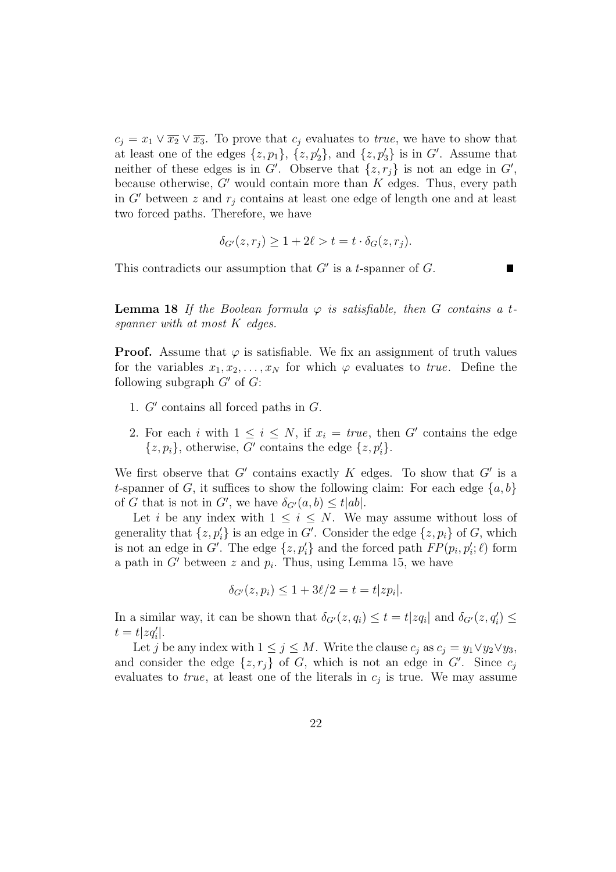$c_j = x_1 \vee \overline{x_2} \vee \overline{x_3}$ . To prove that  $c_j$  evaluates to *true*, we have to show that at least one of the edges  $\{z, p_1\}$ ,  $\{z, p'_2\}$ , and  $\{z, p'_3\}$  is in G'. Assume that neither of these edges is in  $G'$ . Observe that  $\{z, r_j\}$  is not an edge in  $G'$ , because otherwise,  $G'$  would contain more than  $K$  edges. Thus, every path in G' between z and  $r_i$  contains at least one edge of length one and at least two forced paths. Therefore, we have

$$
\delta_{G'}(z,r_j) \ge 1 + 2\ell > t = t \cdot \delta_G(z,r_j).
$$

This contradicts our assumption that  $G'$  is a t-spanner of  $G$ .

**Lemma 18** If the Boolean formula  $\varphi$  is satisfiable, then G contains a tspanner with at most K edges.

**Proof.** Assume that  $\varphi$  is satisfiable. We fix an assignment of truth values for the variables  $x_1, x_2, \ldots, x_N$  for which  $\varphi$  evaluates to true. Define the following subgraph  $G'$  of  $G$ :

- 1.  $G'$  contains all forced paths in  $G$ .
- 2. For each i with  $1 \leq i \leq N$ , if  $x_i = true$ , then G' contains the edge  $\{z, p_i\}$ , otherwise, G' contains the edge  $\{z, p'_i\}$ .

We first observe that  $G'$  contains exactly  $K$  edges. To show that  $G'$  is a t-spanner of G, it suffices to show the following claim: For each edge  $\{a, b\}$ of G that is not in G', we have  $\delta_{G'}(a, b) \leq t|ab|$ .

Let i be any index with  $1 \leq i \leq N$ . We may assume without loss of generality that  $\{z, p'_i\}$  is an edge in G'. Consider the edge  $\{z, p_i\}$  of G, which is not an edge in G'. The edge  $\{z, p_i'\}$  and the forced path  $FP(p_i, p_i'; \ell)$  form a path in  $G'$  between z and  $p_i$ . Thus, using Lemma 15, we have

$$
\delta_{G'}(z, p_i) \leq 1 + 3\ell/2 = t = t |zp_i|.
$$

In a similar way, it can be shown that  $\delta_{G'}(z, q_i) \le t = t |z q_i|$  and  $\delta_{G'}(z, q_i') \le$  $t = t |zq_i'|.$ 

Let j be any index with  $1 \leq j \leq M$ . Write the clause  $c_j$  as  $c_j = y_1 \vee y_2 \vee y_3$ , and consider the edge  $\{z, r_j\}$  of G, which is not an edge in G'. Since  $c_j$ evaluates to *true*, at least one of the literals in  $c_j$  is true. We may assume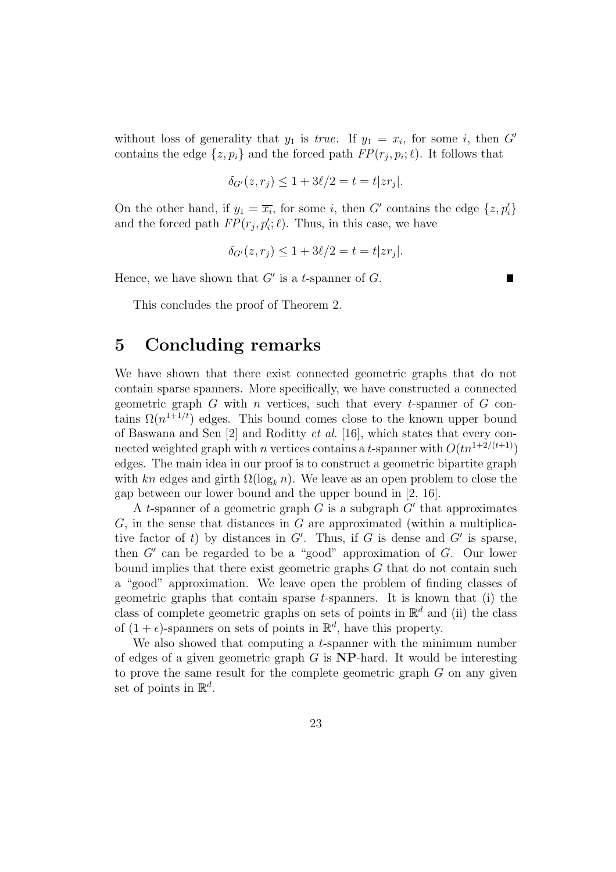without loss of generality that  $y_1$  is *true*. If  $y_1 = x_i$ , for some *i*, then G' contains the edge  $\{z, p_i\}$  and the forced path  $FP(r_j, p_i; \ell)$ . It follows that

$$
\delta_{G'}(z, r_j) \leq 1 + 3\ell/2 = t = t |z r_j|.
$$

On the other hand, if  $y_1 = \overline{x_i}$ , for some i, then G' contains the edge  $\{z, p'_i\}$ and the forced path  $FP(r_j, p'_i; \ell)$ . Thus, in this case, we have

$$
\delta_{G'}(z, r_j) \leq 1 + 3\ell/2 = t = t |z r_j|.
$$

 $\blacksquare$ 

Hence, we have shown that  $G'$  is a t-spanner of  $G$ .

This concludes the proof of Theorem 2.

### 5 Concluding remarks

We have shown that there exist connected geometric graphs that do not contain sparse spanners. More specifically, we have constructed a connected geometric graph  $G$  with n vertices, such that every t-spanner of  $G$  contains  $\Omega(n^{1+1/t})$  edges. This bound comes close to the known upper bound of Baswana and Sen [2] and Roditty et al. [16], which states that every connected weighted graph with n vertices contains a t-spanner with  $O(tn^{1+2/(t+1)})$ edges. The main idea in our proof is to construct a geometric bipartite graph with kn edges and girth  $\Omega(\log_k n)$ . We leave as an open problem to close the gap between our lower bound and the upper bound in [2, 16].

A t-spanner of a geometric graph  $G$  is a subgraph  $G'$  that approximates  $G$ , in the sense that distances in  $G$  are approximated (within a multiplicative factor of t) by distances in  $G'$ . Thus, if G is dense and  $G'$  is sparse, then  $G'$  can be regarded to be a "good" approximation of  $G$ . Our lower bound implies that there exist geometric graphs G that do not contain such a "good" approximation. We leave open the problem of finding classes of geometric graphs that contain sparse  $t$ -spanners. It is known that (i) the class of complete geometric graphs on sets of points in  $\mathbb{R}^d$  and (ii) the class of  $(1 + \epsilon)$ -spanners on sets of points in  $\mathbb{R}^d$ , have this property.

We also showed that computing a t-spanner with the minimum number of edges of a given geometric graph  $G$  is **NP**-hard. It would be interesting to prove the same result for the complete geometric graph  $G$  on any given set of points in  $\mathbb{R}^d$ .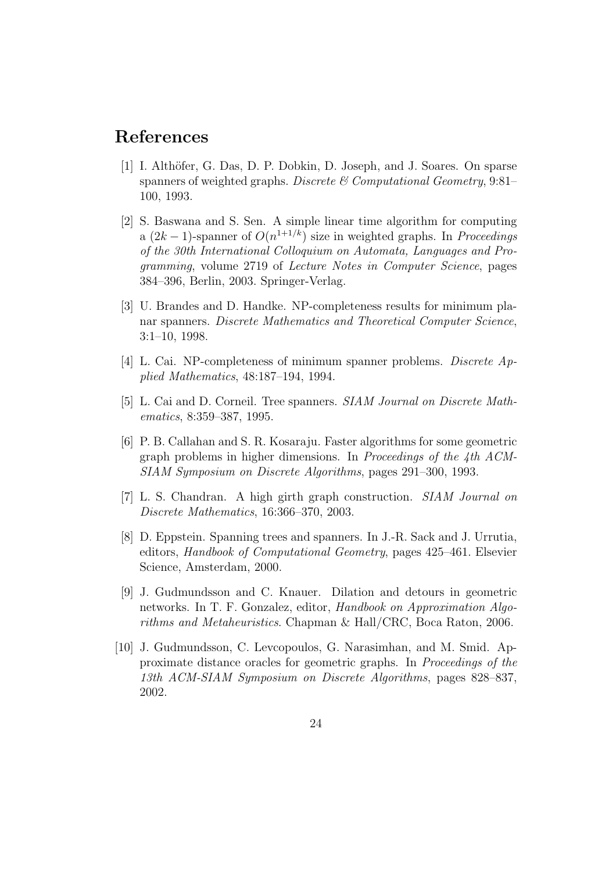## References

- [1] I. Althöfer, G. Das, D. P. Dobkin, D. Joseph, and J. Soares. On sparse spanners of weighted graphs. Discrete  $\mathcal{C}$  Computational Geometry, 9:81– 100, 1993.
- [2] S. Baswana and S. Sen. A simple linear time algorithm for computing a  $(2k-1)$ -spanner of  $O(n^{1+1/k})$  size in weighted graphs. In *Proceedings* of the 30th International Colloquium on Automata, Languages and Programming, volume 2719 of Lecture Notes in Computer Science, pages 384–396, Berlin, 2003. Springer-Verlag.
- [3] U. Brandes and D. Handke. NP-completeness results for minimum planar spanners. Discrete Mathematics and Theoretical Computer Science, 3:1–10, 1998.
- [4] L. Cai. NP-completeness of minimum spanner problems. Discrete Applied Mathematics, 48:187–194, 1994.
- [5] L. Cai and D. Corneil. Tree spanners. SIAM Journal on Discrete Mathematics, 8:359–387, 1995.
- [6] P. B. Callahan and S. R. Kosaraju. Faster algorithms for some geometric graph problems in higher dimensions. In Proceedings of the 4th ACM-SIAM Symposium on Discrete Algorithms, pages 291–300, 1993.
- [7] L. S. Chandran. A high girth graph construction. SIAM Journal on Discrete Mathematics, 16:366–370, 2003.
- [8] D. Eppstein. Spanning trees and spanners. In J.-R. Sack and J. Urrutia, editors, Handbook of Computational Geometry, pages 425–461. Elsevier Science, Amsterdam, 2000.
- [9] J. Gudmundsson and C. Knauer. Dilation and detours in geometric networks. In T. F. Gonzalez, editor, Handbook on Approximation Algorithms and Metaheuristics. Chapman & Hall/CRC, Boca Raton, 2006.
- [10] J. Gudmundsson, C. Levcopoulos, G. Narasimhan, and M. Smid. Approximate distance oracles for geometric graphs. In Proceedings of the 13th ACM-SIAM Symposium on Discrete Algorithms, pages 828–837, 2002.